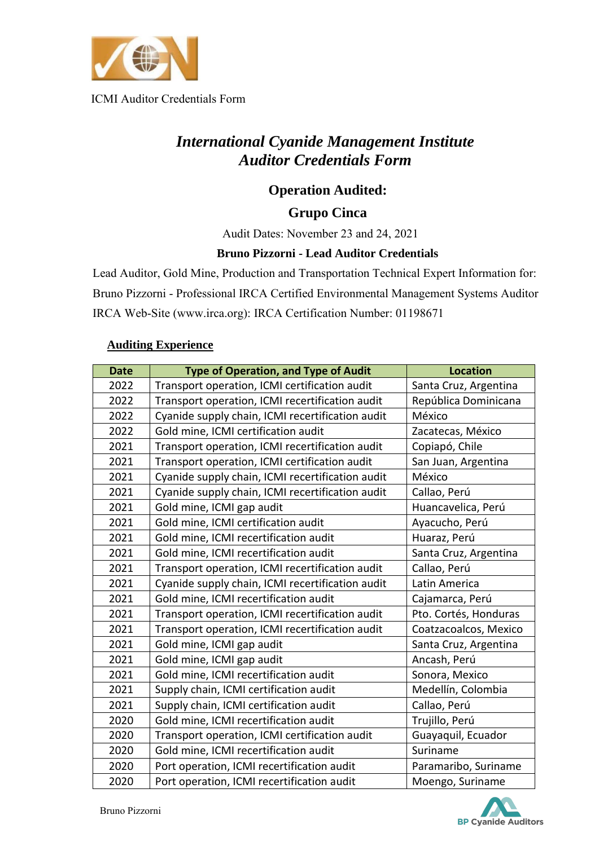

## *International Cyanide Management Institute Auditor Credentials Form*

#### **Operation Audited:**

#### **Grupo Cinca**

Audit Dates: November 23 and 24, 2021

#### **Bruno Pizzorni - Lead Auditor Credentials**

Lead Auditor, Gold Mine, Production and Transportation Technical Expert Information for: Bruno Pizzorni - Professional IRCA Certified Environmental Management Systems Auditor IRCA Web-Site (www.irca.org): IRCA Certification Number: 01198671

#### **Auditing Experience**

| <b>Date</b> | <b>Type of Operation, and Type of Audit</b>                             | <b>Location</b>       |  |  |
|-------------|-------------------------------------------------------------------------|-----------------------|--|--|
| 2022        | Transport operation, ICMI certification audit                           | Santa Cruz, Argentina |  |  |
| 2022        | Transport operation, ICMI recertification audit<br>República Dominicana |                       |  |  |
| 2022        | Cyanide supply chain, ICMI recertification audit                        | México                |  |  |
| 2022        | Gold mine, ICMI certification audit                                     | Zacatecas, México     |  |  |
| 2021        | Transport operation, ICMI recertification audit                         | Copiapó, Chile        |  |  |
| 2021        | Transport operation, ICMI certification audit<br>San Juan, Argentina    |                       |  |  |
| 2021        | Cyanide supply chain, ICMI recertification audit<br>México              |                       |  |  |
| 2021        | Cyanide supply chain, ICMI recertification audit<br>Callao, Perú        |                       |  |  |
| 2021        | Gold mine, ICMI gap audit                                               | Huancavelica, Perú    |  |  |
| 2021        | Gold mine, ICMI certification audit                                     | Ayacucho, Perú        |  |  |
| 2021        | Gold mine, ICMI recertification audit                                   | Huaraz, Perú          |  |  |
| 2021        | Gold mine, ICMI recertification audit                                   | Santa Cruz, Argentina |  |  |
| 2021        | Transport operation, ICMI recertification audit                         | Callao, Perú          |  |  |
| 2021        | Cyanide supply chain, ICMI recertification audit                        | Latin America         |  |  |
| 2021        | Gold mine, ICMI recertification audit                                   | Cajamarca, Perú       |  |  |
| 2021        | Transport operation, ICMI recertification audit                         | Pto. Cortés, Honduras |  |  |
| 2021        | Transport operation, ICMI recertification audit                         | Coatzacoalcos, Mexico |  |  |
| 2021        | Gold mine, ICMI gap audit                                               | Santa Cruz, Argentina |  |  |
| 2021        | Gold mine, ICMI gap audit                                               | Ancash, Perú          |  |  |
| 2021        | Gold mine, ICMI recertification audit                                   | Sonora, Mexico        |  |  |
| 2021        | Supply chain, ICMI certification audit                                  | Medellín, Colombia    |  |  |
| 2021        | Supply chain, ICMI certification audit                                  | Callao, Perú          |  |  |
| 2020        | Gold mine, ICMI recertification audit                                   | Trujillo, Perú        |  |  |
| 2020        | Transport operation, ICMI certification audit<br>Guayaquil, Ecuador     |                       |  |  |
| 2020        | Gold mine, ICMI recertification audit<br>Suriname                       |                       |  |  |
| 2020        | Port operation, ICMI recertification audit<br>Paramaribo, Suriname      |                       |  |  |
| 2020        | Port operation, ICMI recertification audit                              | Moengo, Suriname      |  |  |

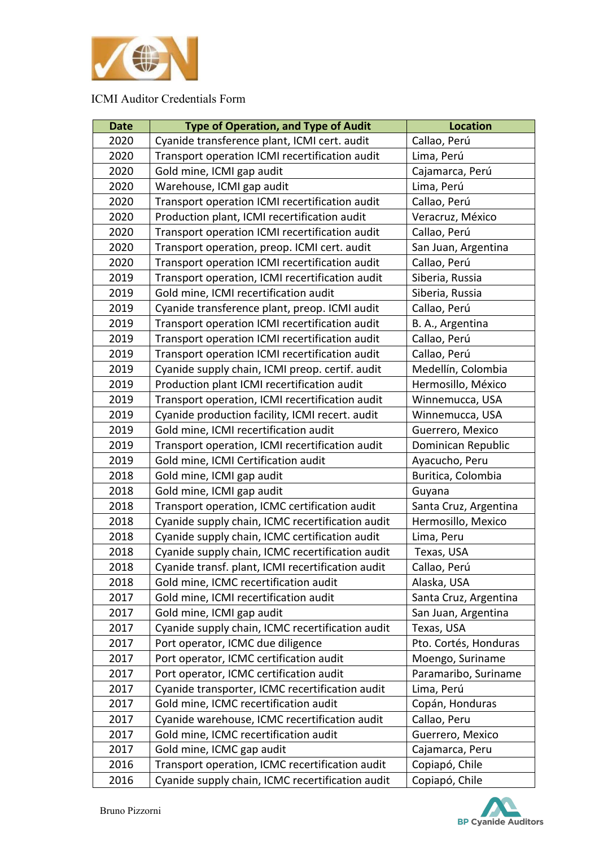

| <b>Date</b> | <b>Type of Operation, and Type of Audit</b>                        | <b>Location</b>       |  |  |  |
|-------------|--------------------------------------------------------------------|-----------------------|--|--|--|
| 2020        | Cyanide transference plant, ICMI cert. audit                       | Callao, Perú          |  |  |  |
| 2020        | Transport operation ICMI recertification audit<br>Lima, Perú       |                       |  |  |  |
| 2020        | Gold mine, ICMI gap audit<br>Cajamarca, Perú                       |                       |  |  |  |
| 2020        | Warehouse, ICMI gap audit                                          | Lima, Perú            |  |  |  |
| 2020        | Transport operation ICMI recertification audit                     | Callao, Perú          |  |  |  |
| 2020        | Production plant, ICMI recertification audit                       | Veracruz, México      |  |  |  |
| 2020        | Transport operation ICMI recertification audit                     | Callao, Perú          |  |  |  |
| 2020        | Transport operation, preop. ICMI cert. audit                       | San Juan, Argentina   |  |  |  |
| 2020        | Transport operation ICMI recertification audit                     | Callao, Perú          |  |  |  |
| 2019        | Transport operation, ICMI recertification audit                    | Siberia, Russia       |  |  |  |
| 2019        | Gold mine, ICMI recertification audit                              | Siberia, Russia       |  |  |  |
| 2019        | Cyanide transference plant, preop. ICMI audit                      | Callao, Perú          |  |  |  |
| 2019        | Transport operation ICMI recertification audit                     | B. A., Argentina      |  |  |  |
| 2019        | Transport operation ICMI recertification audit                     | Callao, Perú          |  |  |  |
| 2019        | Transport operation ICMI recertification audit                     | Callao, Perú          |  |  |  |
| 2019        | Cyanide supply chain, ICMI preop. certif. audit                    | Medellín, Colombia    |  |  |  |
| 2019        | Production plant ICMI recertification audit                        | Hermosillo, México    |  |  |  |
| 2019        | Transport operation, ICMI recertification audit                    | Winnemucca, USA       |  |  |  |
| 2019        | Cyanide production facility, ICMI recert. audit<br>Winnemucca, USA |                       |  |  |  |
| 2019        | Gold mine, ICMI recertification audit                              | Guerrero, Mexico      |  |  |  |
| 2019        | Transport operation, ICMI recertification audit                    | Dominican Republic    |  |  |  |
| 2019        | Gold mine, ICMI Certification audit                                | Ayacucho, Peru        |  |  |  |
| 2018        | Gold mine, ICMI gap audit                                          | Buritica, Colombia    |  |  |  |
| 2018        | Gold mine, ICMI gap audit                                          | Guyana                |  |  |  |
| 2018        | Transport operation, ICMC certification audit                      | Santa Cruz, Argentina |  |  |  |
| 2018        | Cyanide supply chain, ICMC recertification audit                   | Hermosillo, Mexico    |  |  |  |
| 2018        | Cyanide supply chain, ICMC certification audit                     | Lima, Peru            |  |  |  |
| 2018        | Cyanide supply chain, ICMC recertification audit                   | Texas, USA            |  |  |  |
| 2018        | Cyanide transf. plant, ICMI recertification audit                  | Callao, Perú          |  |  |  |
| 2018        | Gold mine, ICMC recertification audit                              | Alaska, USA           |  |  |  |
| 2017        | Gold mine, ICMI recertification audit                              | Santa Cruz, Argentina |  |  |  |
| 2017        | Gold mine, ICMI gap audit                                          | San Juan, Argentina   |  |  |  |
| 2017        | Cyanide supply chain, ICMC recertification audit                   | Texas, USA            |  |  |  |
| 2017        | Port operator, ICMC due diligence                                  | Pto. Cortés, Honduras |  |  |  |
| 2017        | Port operator, ICMC certification audit                            | Moengo, Suriname      |  |  |  |
| 2017        | Port operator, ICMC certification audit                            | Paramaribo, Suriname  |  |  |  |
| 2017        | Cyanide transporter, ICMC recertification audit                    | Lima, Perú            |  |  |  |
| 2017        | Gold mine, ICMC recertification audit<br>Copán, Honduras           |                       |  |  |  |
| 2017        | Cyanide warehouse, ICMC recertification audit                      | Callao, Peru          |  |  |  |
| 2017        | Gold mine, ICMC recertification audit<br>Guerrero, Mexico          |                       |  |  |  |
| 2017        | Gold mine, ICMC gap audit<br>Cajamarca, Peru                       |                       |  |  |  |
| 2016        | Transport operation, ICMC recertification audit<br>Copiapó, Chile  |                       |  |  |  |
| 2016        | Cyanide supply chain, ICMC recertification audit<br>Copiapó, Chile |                       |  |  |  |

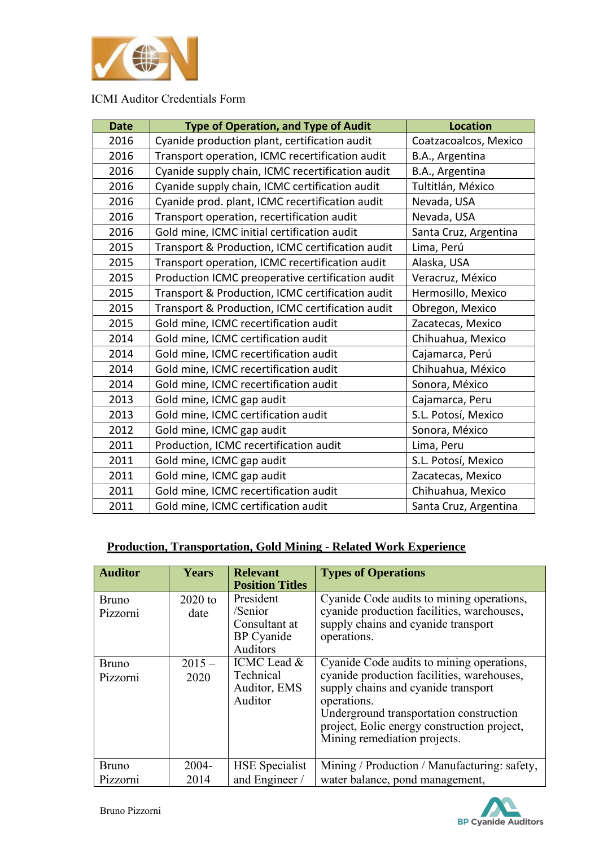

| <b>Date</b> | <b>Type of Operation, and Type of Audit</b>                            | <b>Location</b>       |  |  |
|-------------|------------------------------------------------------------------------|-----------------------|--|--|
| 2016        | Cyanide production plant, certification audit<br>Coatzacoalcos, Mexico |                       |  |  |
| 2016        | Transport operation, ICMC recertification audit<br>B.A., Argentina     |                       |  |  |
| 2016        | Cyanide supply chain, ICMC recertification audit                       | B.A., Argentina       |  |  |
| 2016        | Cyanide supply chain, ICMC certification audit                         | Tultitlán, México     |  |  |
| 2016        | Cyanide prod. plant, ICMC recertification audit<br>Nevada, USA         |                       |  |  |
| 2016        | Nevada, USA<br>Transport operation, recertification audit              |                       |  |  |
| 2016        | Santa Cruz, Argentina<br>Gold mine, ICMC initial certification audit   |                       |  |  |
| 2015        | Transport & Production, ICMC certification audit                       | Lima, Perú            |  |  |
| 2015        | Transport operation, ICMC recertification audit                        | Alaska, USA           |  |  |
| 2015        | Production ICMC preoperative certification audit                       | Veracruz, México      |  |  |
| 2015        | Transport & Production, ICMC certification audit                       | Hermosillo, Mexico    |  |  |
| 2015        | Transport & Production, ICMC certification audit                       | Obregon, Mexico       |  |  |
| 2015        | Gold mine, ICMC recertification audit                                  | Zacatecas, Mexico     |  |  |
| 2014        | Gold mine, ICMC certification audit                                    | Chihuahua, Mexico     |  |  |
| 2014        | Gold mine, ICMC recertification audit                                  | Cajamarca, Perú       |  |  |
| 2014        | Gold mine, ICMC recertification audit                                  | Chihuahua, México     |  |  |
| 2014        | Gold mine, ICMC recertification audit                                  | Sonora, México        |  |  |
| 2013        | Gold mine, ICMC gap audit                                              | Cajamarca, Peru       |  |  |
| 2013        | Gold mine, ICMC certification audit                                    | S.L. Potosí, Mexico   |  |  |
| 2012        | Gold mine, ICMC gap audit                                              | Sonora, México        |  |  |
| 2011        | Production, ICMC recertification audit                                 | Lima, Peru            |  |  |
| 2011        | Gold mine, ICMC gap audit                                              | S.L. Potosí, Mexico   |  |  |
| 2011        | Gold mine, ICMC gap audit                                              | Zacatecas, Mexico     |  |  |
| 2011        | Gold mine, ICMC recertification audit                                  | Chihuahua, Mexico     |  |  |
| 2011        | Gold mine, ICMC certification audit                                    | Santa Cruz, Argentina |  |  |

## **Production, Transportation, Gold Mining - Related Work Experience**

| <b>Auditor</b>           | <b>Years</b>      | <b>Relevant</b><br><b>Position Titles</b>                              | <b>Types of Operations</b>                                                                                                                                                                                                                                              |
|--------------------------|-------------------|------------------------------------------------------------------------|-------------------------------------------------------------------------------------------------------------------------------------------------------------------------------------------------------------------------------------------------------------------------|
| <b>Bruno</b><br>Pizzorni | $2020$ to<br>date | President<br>/Senior<br>Consultant at<br><b>BP</b> Cyanide<br>Auditors | Cyanide Code audits to mining operations,<br>cyanide production facilities, warehouses,<br>supply chains and cyanide transport<br>operations.                                                                                                                           |
| <b>Bruno</b><br>Pizzorni | $2015 -$<br>2020  | ICMC Lead &<br>Technical<br>Auditor, EMS<br>Auditor                    | Cyanide Code audits to mining operations,<br>cyanide production facilities, warehouses,<br>supply chains and cyanide transport<br>operations.<br>Underground transportation construction<br>project, Eolic energy construction project,<br>Mining remediation projects. |
| <b>Bruno</b><br>Pizzorni | $2004 -$<br>2014  | <b>HSE</b> Specialist<br>and Engineer /                                | Mining / Production / Manufacturing: safety,<br>water balance, pond management,                                                                                                                                                                                         |

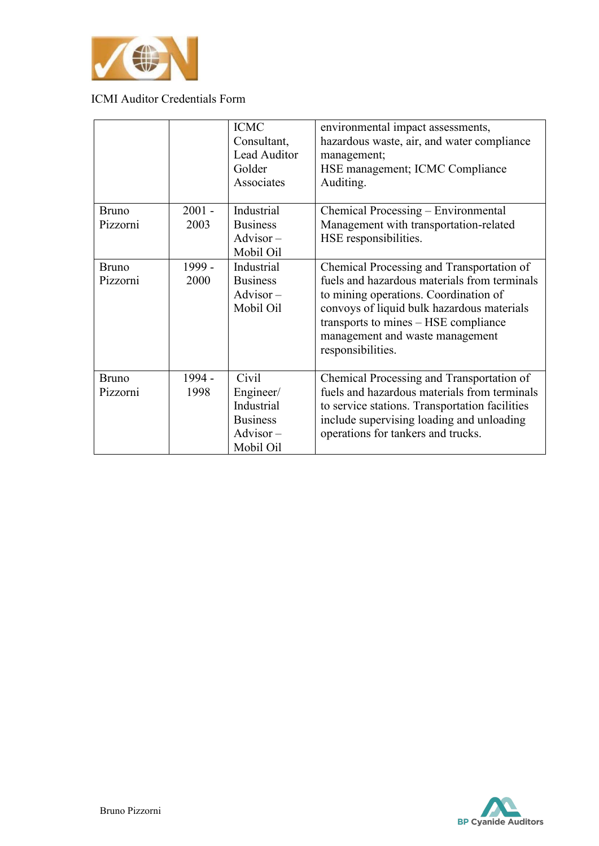

|                          |                  | <b>ICMC</b><br>Consultant,<br>Lead Auditor<br>Golder<br>Associates              | environmental impact assessments,<br>hazardous waste, air, and water compliance<br>management;<br>HSE management; ICMC Compliance<br>Auditing.                                                                                                                                   |
|--------------------------|------------------|---------------------------------------------------------------------------------|----------------------------------------------------------------------------------------------------------------------------------------------------------------------------------------------------------------------------------------------------------------------------------|
| <b>Bruno</b><br>Pizzorni | $2001 -$<br>2003 | Industrial<br><b>Business</b><br>$Advisor -$<br>Mobil Oil                       | Chemical Processing - Environmental<br>Management with transportation-related<br>HSE responsibilities.                                                                                                                                                                           |
| <b>Bruno</b><br>Pizzorni | 1999 -<br>2000   | Industrial<br><b>Business</b><br>$Advisor -$<br>Mobil Oil                       | Chemical Processing and Transportation of<br>fuels and hazardous materials from terminals<br>to mining operations. Coordination of<br>convoys of liquid bulk hazardous materials<br>transports to mines – HSE compliance<br>management and waste management<br>responsibilities. |
| <b>Bruno</b><br>Pizzorni | 1994 -<br>1998   | Civil<br>Engineer/<br>Industrial<br><b>Business</b><br>$Advisor -$<br>Mobil Oil | Chemical Processing and Transportation of<br>fuels and hazardous materials from terminals<br>to service stations. Transportation facilities<br>include supervising loading and unloading<br>operations for tankers and trucks.                                                   |

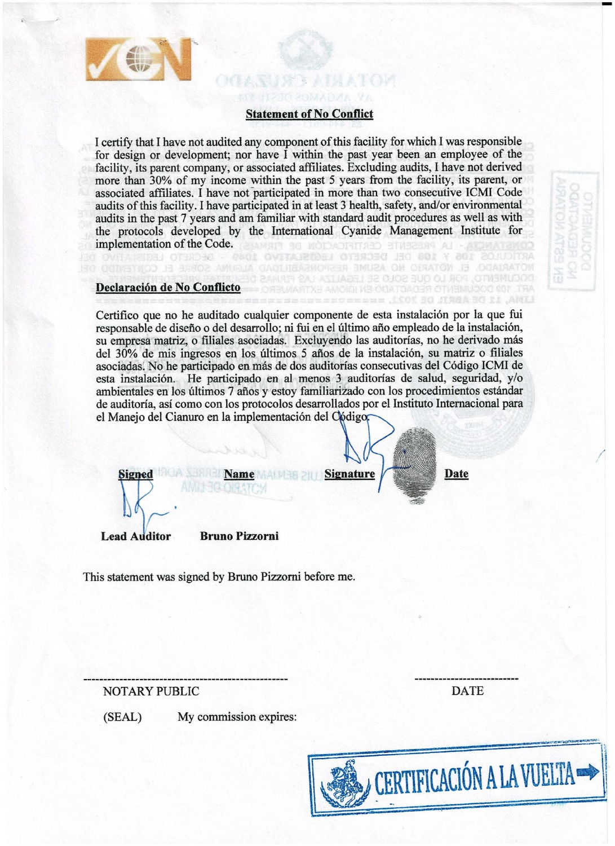

## **Statement of No Conflict**

I certify that I have not audited any component of this facility for which I was responsible for design or development; nor have I within the past year been an employee of the facility, its parent company, or associated affiliates. Excluding audits, I have not derived more than 30% of my income within the past 5 years from the facility, its parent, or associated affiliates. I have not participated in more than two consecutive ICMI Code audits of this facility. I have participated in at least 3 health, safety, and/or environmental audits in the past 7 years and am familiar with standard audit procedures as well as with the protocols developed by the International Cyanide Management Institute for implementation of the Code.

## Declaración de No Conflicto

Certifico que no he auditado cualquier componente de esta instalación por la que fui

responsable de diseño o del desarrollo; ni fui en el último año empleado de la instalación, su empresa matriz, o filiales asociadas. Excluyendo las auditorías, no he derivado más del 30% de mis ingresos en los últimos 5 años de la instalación, su matriz o filiales asociadas. No he participado en más de dos auditorías consecutivas del Código ICMI de esta instalación. He participado en al menos 3 auditorías de salud, seguridad, y/o ambientales en los últimos 7 años y estoy familiarizado con los procedimientos estándar de auditoría, así como con los protocolos desarrollados por el Instituto Internacional para el Manejo del Cianuro en la implementación del Código.



This statement was signed by Bruno Pizzorni before me.



**DESPENDE** 

AST JADRU HE CLIOB RUO OJ ROG JOTNEMICOOO

**CELESSATOV** 

LINA. 12 DE ARTIL DE 20

**Date** 

## **NOTARY PUBLIC**

My commission expires: (SEAL)

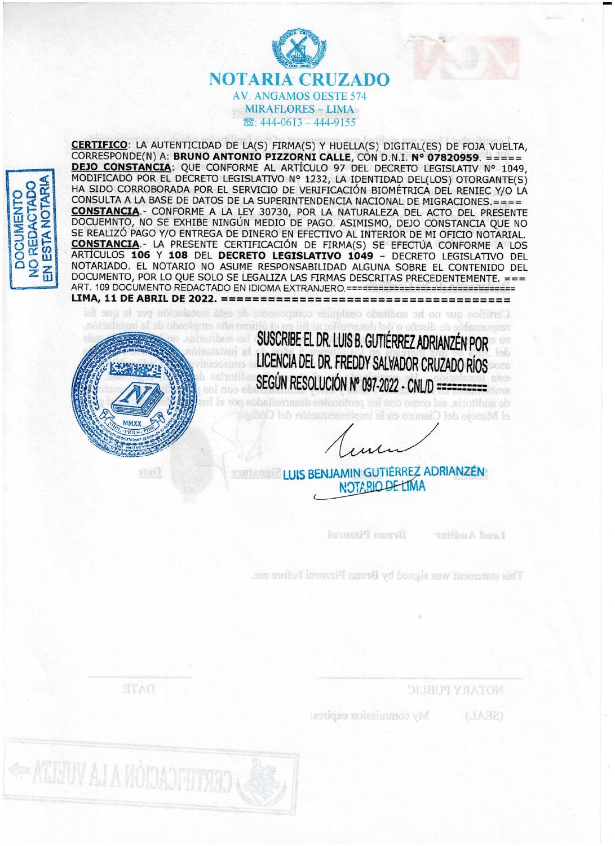



CERTIFICO: LA AUTENTICIDAD DE LA(S) FIRMA(S) Y HUELLA(S) DIGITAL(ES) DE FOJA VUELTA, CORRESPONDE(N) A: BRUNO ANTONIO PIZZORNI CALLE, CON D.N.I. Nº 07820959. ===== DEJO CONSTANCIA: QUE CONFORME AL ARTÍCULO 97 DEL DECRETO LEGISLATIV Nº 1049, MODIFICADO POR EL DECRETO LEGISLATIVO Nº 1232, LA IDENTIDAD DEL(LOS) OTORGANTE(S) HA SIDO CORROBORADA POR EL SERVICIO DE VERIFICACIÓN BIOMÉTRICA DEL RENIEC Y/O LA CONSULTA A LA BASE DE DATOS DE LA SUPERINTENDENCIA NACIONAL DE MIGRACIONES.==== **CONSTANCIA.**- CONFORME A LA LEY 30730, POR LA NATURALEZA DEL ACTO DEL PRESENTE DOCUEMNTO, NO SE EXHIBE NINGÚN MEDIO DE PAGO. ASIMISMO, DEJO CONSTANCIA QUE NO SE REALIZÓ PAGO Y/O ENTREGA DE DINERO EN EFECTIVO AL INTERIOR DE MI OFICIO NOTARIAL. CONSTANCIA.- LA PRESENTE CERTIFICACIÓN DE FIRMA(S) SE EFECTÚA CONFORME A LOS ARTÍCULOS 106 Y 108 DEL DECRETO LEGISLATIVO 1049 - DECRETO LEGISLATIVO DEL NOTARIADO. EL NOTARIO NO ASUME RESPONSABILIDAD ALGUNA SOBRE EL CONTENIDO DEL DOCUMENTO, POR LO QUE SOLO SE LEGALIZA LAS FIRMAS DESCRITAS PRECEDENTEMENTE. === ART. 109 DOCUMENTO REDACTADO EN IDIOMA EXTRANJERO.============================== 

Certified and he additioned completer components de esta institution and is que to this existed where all all relevant reason when received in the set of the set of concerns before, a need to get all the



91.RC

SUSCRIBE EL DR. LUIS B. GUTIÉRREZ ADRIANZÉN POR LICENCIA DEL DR. FREDDY SALVADOR CRUZADO RÍOS SEGÚN RESOLUCIÓN Nº 097-2022 - CNL/D ==========

de auditoria, así como com los profocolos desarr el Manejo del Ciantro en la implementación del

LUIS BENJAMIN GUTIÉRREZ ADRIANZÉN NOTABIO DE LIMA

> Bruno Fizzoria toribuA base

This statement was signed by Bruno Pizzonni before me.